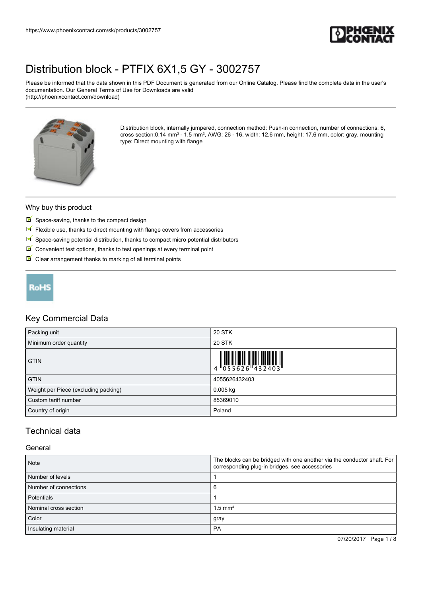

Please be informed that the data shown in this PDF Document is generated from our Online Catalog. Please find the complete data in the user's documentation. Our General Terms of Use for Downloads are valid (http://phoenixcontact.com/download)



Distribution block, internally jumpered, connection method: Push-in connection, number of connections: 6, cross section:0.14 mm² - 1.5 mm², AWG: 26 - 16, width: 12.6 mm, height: 17.6 mm, color: gray, mounting type: Direct mounting with flange

#### Why buy this product

- $\blacksquare$  Space-saving, thanks to the compact design
- $\blacksquare$  Flexible use, thanks to direct mounting with flange covers from accessories
- $\blacksquare$  Space-saving potential distribution, thanks to compact micro potential distributors
- $\blacksquare$  Convenient test options, thanks to test openings at every terminal point
- $\triangleright$  Clear arrangement thanks to marking of all terminal points

## **RoHS**

#### Key Commercial Data

| Packing unit                         | <b>20 STK</b>                                                                                                                                                                                                                                                                                                                                                                                                         |
|--------------------------------------|-----------------------------------------------------------------------------------------------------------------------------------------------------------------------------------------------------------------------------------------------------------------------------------------------------------------------------------------------------------------------------------------------------------------------|
| Minimum order quantity               | <b>20 STK</b>                                                                                                                                                                                                                                                                                                                                                                                                         |
| <b>GTIN</b>                          | $\left\  \begin{matrix} 1 & 0 & 0 \\ 0 & 0 & 0 \\ 0 & 0 & 0 \end{matrix} \right\  = \left\  \begin{matrix} 1 & 0 & 0 \\ 0 & 0 & 0 \\ 0 & 0 & 0 \end{matrix} \right\  = \left\  \begin{matrix} 1 & 0 & 0 \\ 0 & 0 & 0 \\ 0 & 0 & 0 \end{matrix} \right\  = \left\  \begin{matrix} 1 & 0 & 0 \\ 0 & 0 & 0 \\ 0 & 0 & 0 \end{matrix} \right\  = \left\  \begin{matrix} 1 & 0 & 0 \\ 0 & 0 & 0 \\ 0 & 0 & 0 \end{matrix}$ |
| <b>GTIN</b>                          | 4055626432403                                                                                                                                                                                                                                                                                                                                                                                                         |
| Weight per Piece (excluding packing) | $0.005$ kg                                                                                                                                                                                                                                                                                                                                                                                                            |
| Custom tariff number                 | 85369010                                                                                                                                                                                                                                                                                                                                                                                                              |
| Country of origin                    | Poland                                                                                                                                                                                                                                                                                                                                                                                                                |

## Technical data

#### General

| <b>Note</b>           | The blocks can be bridged with one another via the conductor shaft. For<br>corresponding plug-in bridges, see accessories |
|-----------------------|---------------------------------------------------------------------------------------------------------------------------|
| Number of levels      |                                                                                                                           |
| Number of connections |                                                                                                                           |
| Potentials            |                                                                                                                           |
| Nominal cross section | $1.5$ mm <sup>2</sup>                                                                                                     |
| Color                 | gray                                                                                                                      |
| Insulating material   | PA                                                                                                                        |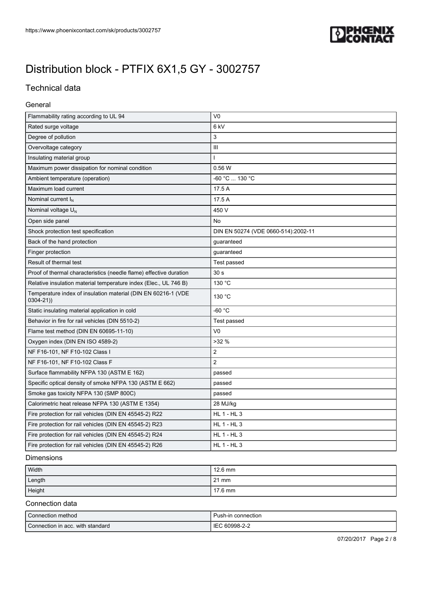

## Technical data

#### General

| Flammability rating according to UL 94                                        | V <sub>0</sub>                      |
|-------------------------------------------------------------------------------|-------------------------------------|
| Rated surge voltage                                                           | 6 <sub>kV</sub>                     |
| Degree of pollution                                                           | 3                                   |
| Overvoltage category                                                          | Ш                                   |
| Insulating material group                                                     |                                     |
| Maximum power dissipation for nominal condition                               | 0.56W                               |
| Ambient temperature (operation)                                               | -60 °C  130 °C                      |
| Maximum load current                                                          | 17.5 A                              |
| Nominal current $I_N$                                                         | 17.5 A                              |
| Nominal voltage $U_N$                                                         | 450 V                               |
| Open side panel                                                               | No                                  |
| Shock protection test specification                                           | DIN EN 50274 (VDE 0660-514):2002-11 |
| Back of the hand protection                                                   | guaranteed                          |
| Finger protection                                                             | guaranteed                          |
| Result of thermal test                                                        | Test passed                         |
| Proof of thermal characteristics (needle flame) effective duration            | 30 <sub>s</sub>                     |
| Relative insulation material temperature index (Elec., UL 746 B)              | 130 °C                              |
| Temperature index of insulation material (DIN EN 60216-1 (VDE<br>$0304 - 21)$ | 130 °C                              |
| Static insulating material application in cold                                | $-60 °C$                            |
| Behavior in fire for rail vehicles (DIN 5510-2)                               | Test passed                         |
| Flame test method (DIN EN 60695-11-10)                                        | V <sub>0</sub>                      |
| Oxygen index (DIN EN ISO 4589-2)                                              | $>32\%$                             |
| NF F16-101, NF F10-102 Class I                                                | $\overline{2}$                      |
| NF F16-101, NF F10-102 Class F                                                | $\overline{2}$                      |
| Surface flammability NFPA 130 (ASTM E 162)                                    | passed                              |
| Specific optical density of smoke NFPA 130 (ASTM E 662)                       | passed                              |
| Smoke gas toxicity NFPA 130 (SMP 800C)                                        | passed                              |
| Calorimetric heat release NFPA 130 (ASTM E 1354)                              | 28 MJ/kg                            |
| Fire protection for rail vehicles (DIN EN 45545-2) R22                        | <b>HL 1 - HL 3</b>                  |
| Fire protection for rail vehicles (DIN EN 45545-2) R23                        | <b>HL 1 - HL 3</b>                  |
| Fire protection for rail vehicles (DIN EN 45545-2) R24                        | <b>HL 1 - HL 3</b>                  |
| Fire protection for rail vehicles (DIN EN 45545-2) R26                        | <b>HL 1 - HL 3</b>                  |

### Dimensions

| Width  | $12.6 \text{ mm}$ |
|--------|-------------------|
| Length | $121 \text{ mm}$  |
| Height | 17.6 mm           |

#### Connection data

| Connection method                | Push-in connection      |
|----------------------------------|-------------------------|
| Connection in acc. with standard | 60998-2-2<br><b>IEC</b> |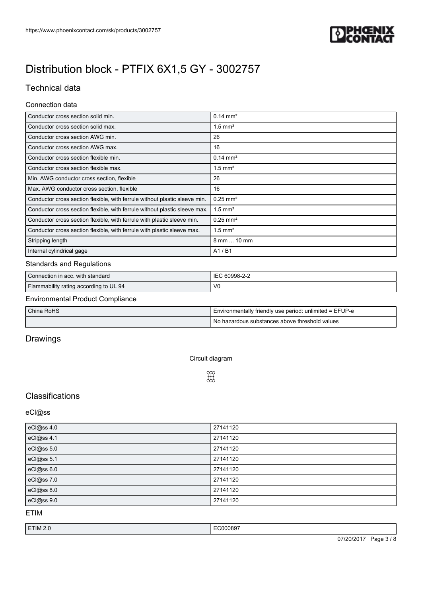

## Technical data

### Connection data

| Conductor cross section solid min.                                         | $0.14 \text{ mm}^2$    |
|----------------------------------------------------------------------------|------------------------|
| Conductor cross section solid max.                                         | $1.5$ mm <sup>2</sup>  |
| Conductor cross section AWG min.                                           | 26                     |
| Conductor cross section AWG max.                                           | 16                     |
| Conductor cross section flexible min.                                      | $0.14 \text{ mm}^2$    |
| Conductor cross section flexible max.                                      | $1.5$ mm <sup>2</sup>  |
| Min. AWG conductor cross section, flexible                                 | 26                     |
| Max. AWG conductor cross section, flexible                                 | 16                     |
| Conductor cross section flexible, with ferrule without plastic sleeve min. | $0.25$ mm <sup>2</sup> |
| Conductor cross section flexible, with ferrule without plastic sleeve max. | $1.5$ mm <sup>2</sup>  |
| Conductor cross section flexible, with ferrule with plastic sleeve min.    | $0.25$ mm <sup>2</sup> |
| Conductor cross section flexible, with ferrule with plastic sleeve max.    | $1.5$ mm <sup>2</sup>  |
| Stripping length                                                           | 8 mm  10 mm            |
| Internal cylindrical gage                                                  | A1/B1                  |

### Standards and Regulations

| Connection in acc. with standard       | IEC 60998-2-2  |
|----------------------------------------|----------------|
| Flammability rating according to UL 94 | V <sub>0</sub> |

### Environmental Product Compliance

| China RoHS | I Environmentally friendly use period: unlimited = EFUP-e |
|------------|-----------------------------------------------------------|
|            | l No hazardous substances above threshold values          |

## Drawings

Circuit diagram

 $\begin{bmatrix} 0 \\ 0 \\ 0 \end{bmatrix}$ 

# **Classifications**

#### eCl@ss

| eCl@ss 4.0 | 27141120 |
|------------|----------|
| eCl@ss 4.1 | 27141120 |
| eCl@ss 5.0 | 27141120 |
| eCl@ss 5.1 | 27141120 |
| eCl@ss 6.0 | 27141120 |
| eCl@ss 7.0 | 27141120 |
| eCl@ss 8.0 | 27141120 |
| eCl@ss 9.0 | 27141120 |

#### ETIM

| ETIM 2.0<br>. <b>. .</b> | EC000897<br>. |                                         |
|--------------------------|---------------|-----------------------------------------|
|                          | 07/20/2017    | $\sqrt{Q}$<br>$P$ age<br>ູບ /<br>ີ<br>ີ |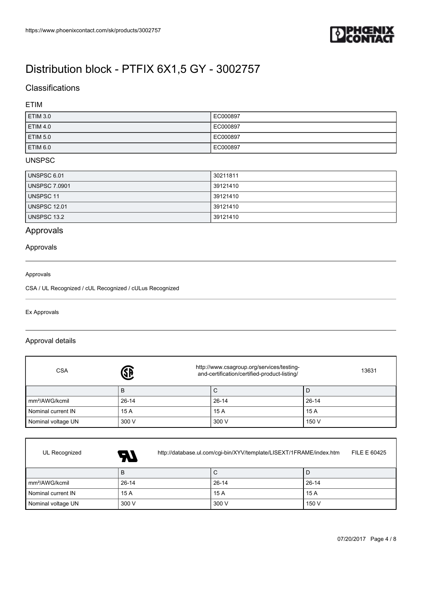

## **Classifications**

### ETIM

| ETIM 3.0            | EC000897 |
|---------------------|----------|
| <b>ETIM 4.0</b>     | EC000897 |
| ETIM <sub>5.0</sub> | EC000897 |
| <b>ETIM 6.0</b>     | EC000897 |

### UNSPSC

| I UNSPSC 6.01       | 30211811 |
|---------------------|----------|
| UNSPSC 7.0901       | 39121410 |
| l UNSPSC 11         | 39121410 |
| <b>UNSPSC 12.01</b> | 39121410 |
| UNSPSC 13.2         | 39121410 |

# Approvals

#### Approvals

#### Approvals

CSA / UL Recognized / cUL Recognized / cULus Recognized

Ex Approvals

 $\Gamma$ 

#### Approval details

| <b>CSA</b>                 | http://www.csagroup.org/services/testing-<br><b>4</b><br>and-certification/certified-product-listing/ | 13631   |         |
|----------------------------|-------------------------------------------------------------------------------------------------------|---------|---------|
|                            | B                                                                                                     | С       |         |
| mm <sup>2</sup> /AWG/kcmil | $26 - 14$                                                                                             | $26-14$ | $26-14$ |
| Nominal current IN         | 15 A                                                                                                  | 15 A    | 15A     |
| Nominal voltage UN         | 300 V                                                                                                 | 300 V   | 150 V   |

| UL Recognized              | http://database.ul.com/cgi-bin/XYV/template/LISEXT/1FRAME/index.htm<br>FILE E 60425<br>$\boldsymbol{H}$ |           |           |  |  |
|----------------------------|---------------------------------------------------------------------------------------------------------|-----------|-----------|--|--|
|                            | B                                                                                                       | С         |           |  |  |
| mm <sup>2</sup> /AWG/kcmil | $26 - 14$                                                                                               | $26 - 14$ | $26 - 14$ |  |  |
| Nominal current IN         | 15 A                                                                                                    | 15 A      | 15 A      |  |  |
| Nominal voltage UN         | 300 V                                                                                                   | 300 V     | 150 V     |  |  |

┑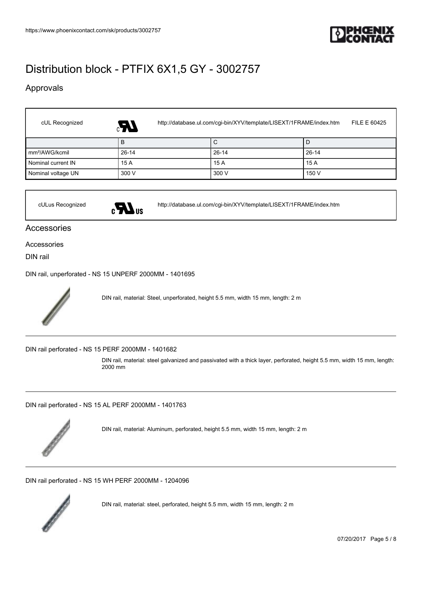

## Approvals

 $\sqrt{ }$ 

| cUL Recognized             | http://database.ul.com/cgi-bin/XYV/template/LISEXT/1FRAME/index.htm<br>FILE E 60425<br>$\mathcal{F}_3$ |           |           |  |
|----------------------------|--------------------------------------------------------------------------------------------------------|-----------|-----------|--|
|                            | B                                                                                                      | С         | D         |  |
| mm <sup>2</sup> /AWG/kcmil | $26 - 14$                                                                                              | $26 - 14$ | $26 - 14$ |  |
| Nominal current IN         | 15 A                                                                                                   | 15 A      | 15A       |  |
| Nominal voltage UN         | 300 V                                                                                                  | 300 V     | 150 V     |  |



cULus Recognized <http://database.ul.com/cgi-bin/XYV/template/LISEXT/1FRAME/index.htm>

### Accessories

#### Accessories

DIN rail

[DIN rail, unperforated - NS 15 UNPERF 2000MM - 1401695](https://www.phoenixcontact.com/sk/products/1401695)



DIN rail, material: Steel, unperforated, height 5.5 mm, width 15 mm, length: 2 m

[DIN rail perforated - NS 15 PERF 2000MM - 1401682](https://www.phoenixcontact.com/sk/products/1401682)

DIN rail, material: steel galvanized and passivated with a thick layer, perforated, height 5.5 mm, width 15 mm, length: 2000 mm

[DIN rail perforated - NS 15 AL PERF 2000MM - 1401763](https://www.phoenixcontact.com/sk/products/1401763)



DIN rail, material: Aluminum, perforated, height 5.5 mm, width 15 mm, length: 2 m

[DIN rail perforated - NS 15 WH PERF 2000MM - 1204096](https://www.phoenixcontact.com/sk/products/1204096)



DIN rail, material: steel, perforated, height 5.5 mm, width 15 mm, length: 2 m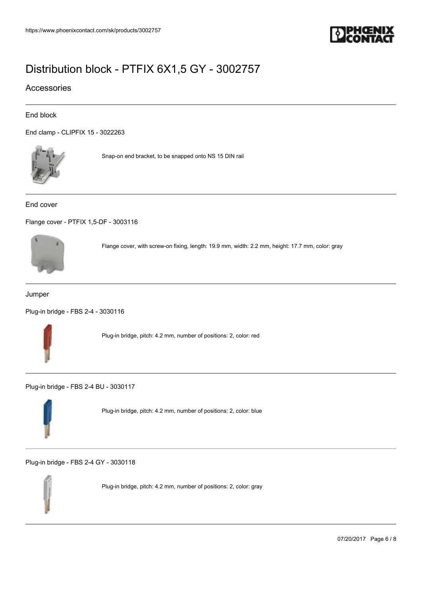

### Accessories

#### End block

[End clamp - CLIPFIX 15 - 3022263](https://www.phoenixcontact.com/sk/products/3022263)



Snap-on end bracket, to be snapped onto NS 15 DIN rail

#### End cover

[Flange cover - PTFIX 1,5-DF - 3003116](https://www.phoenixcontact.com/sk/products/3003116)



Flange cover, with screw-on fixing, length: 19.9 mm, width: 2.2 mm, height: 17.7 mm, color: gray

#### Jumper

[Plug-in bridge - FBS 2-4 - 3030116](https://www.phoenixcontact.com/sk/products/3030116)



Plug-in bridge, pitch: 4.2 mm, number of positions: 2, color: red

[Plug-in bridge - FBS 2-4 BU - 3030117](https://www.phoenixcontact.com/sk/products/3030117)



Plug-in bridge, pitch: 4.2 mm, number of positions: 2, color: blue

[Plug-in bridge - FBS 2-4 GY - 3030118](https://www.phoenixcontact.com/sk/products/3030118)



Plug-in bridge, pitch: 4.2 mm, number of positions: 2, color: gray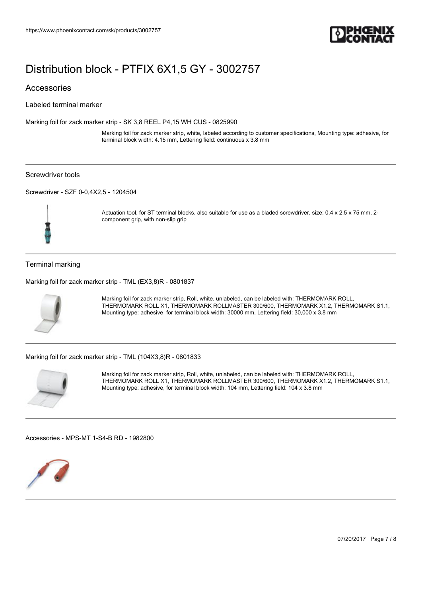

#### Accessories

Labeled terminal marker

[Marking foil for zack marker strip - SK 3,8 REEL P4,15 WH CUS - 0825990](https://www.phoenixcontact.com/sk/products/0825990)

Marking foil for zack marker strip, white, labeled according to customer specifications, Mounting type: adhesive, for terminal block width: 4.15 mm, Lettering field: continuous x 3.8 mm

#### Screwdriver tools

[Screwdriver - SZF 0-0,4X2,5 - 1204504](https://www.phoenixcontact.com/sk/products/1204504)



Actuation tool, for ST terminal blocks, also suitable for use as a bladed screwdriver, size: 0.4 x 2.5 x 75 mm, 2component grip, with non-slip grip

#### Terminal marking

[Marking foil for zack marker strip - TML \(EX3,8\)R - 0801837](https://www.phoenixcontact.com/sk/products/0801837)



Marking foil for zack marker strip, Roll, white, unlabeled, can be labeled with: THERMOMARK ROLL, THERMOMARK ROLL X1, THERMOMARK ROLLMASTER 300/600, THERMOMARK X1.2, THERMOMARK S1.1, Mounting type: adhesive, for terminal block width: 30000 mm, Lettering field: 30,000 x 3.8 mm

[Marking foil for zack marker strip - TML \(104X3,8\)R - 0801833](https://www.phoenixcontact.com/sk/products/0801833)



Marking foil for zack marker strip, Roll, white, unlabeled, can be labeled with: THERMOMARK ROLL, THERMOMARK ROLL X1, THERMOMARK ROLLMASTER 300/600, THERMOMARK X1.2, THERMOMARK S1.1, Mounting type: adhesive, for terminal block width: 104 mm, Lettering field: 104 x 3.8 mm

[Accessories - MPS-MT 1-S4-B RD - 1982800](https://www.phoenixcontact.com/sk/products/1982800)



07/20/2017 Page 7 / 8